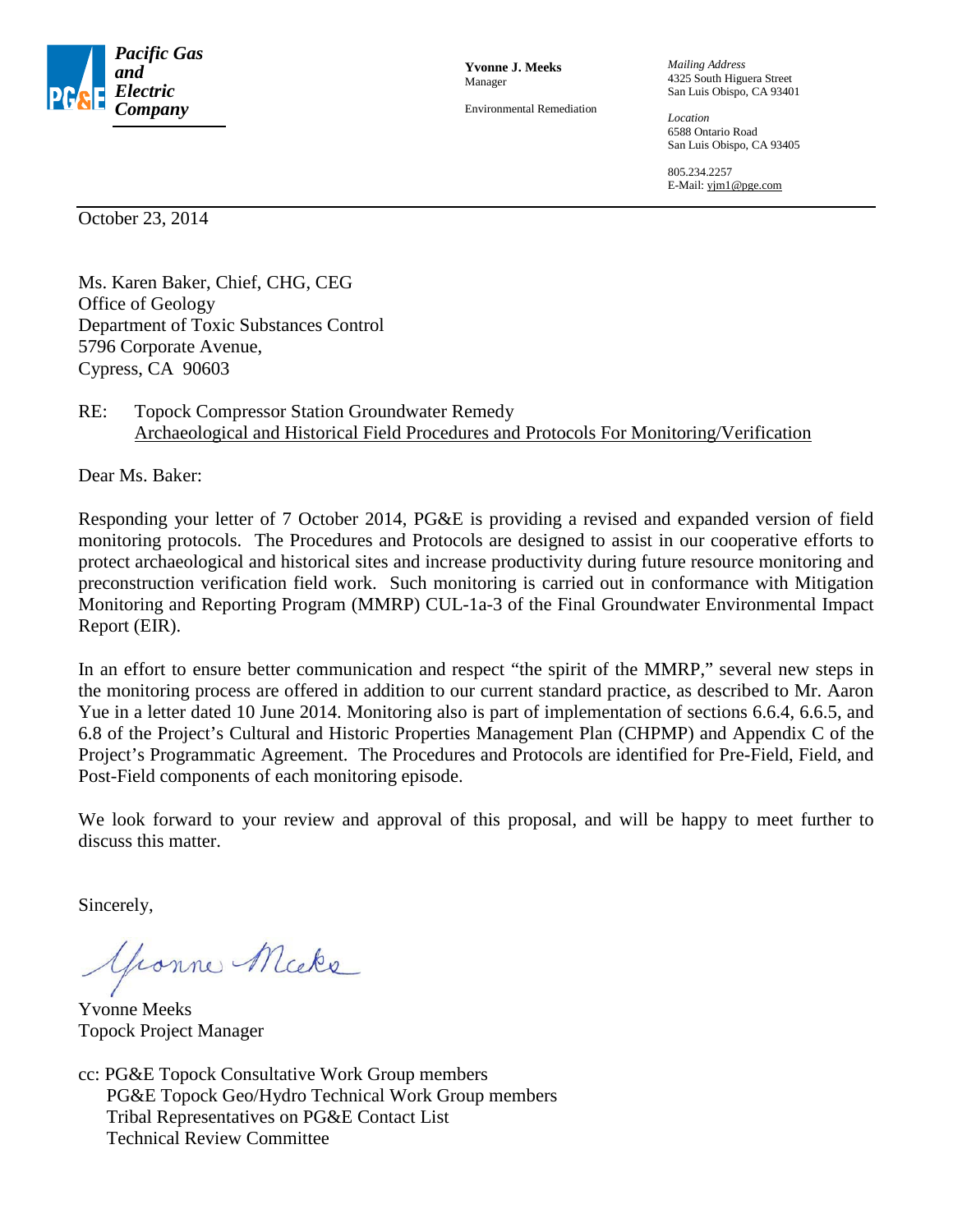

**Yvonne J. Meeks** Manager

Environmental Remediation

*Mailing Address* 4325 South Higuera Street San Luis Obispo, CA 93401

*Location* 6588 Ontario Road San Luis Obispo, CA 93405

805.234.2257 E-Mail: yjm1@pge.com

October 23, 2014

Ms. Karen Baker, Chief, CHG, CEG Office of Geology Department of Toxic Substances Control 5796 Corporate Avenue, Cypress, CA 90603

#### RE: Topock Compressor Station Groundwater Remedy Archaeological and Historical Field Procedures and Protocols For Monitoring/Verification

Dear Ms. Baker:

Responding your letter of 7 October 2014, PG&E is providing a revised and expanded version of field monitoring protocols. The Procedures and Protocols are designed to assist in our cooperative efforts to protect archaeological and historical sites and increase productivity during future resource monitoring and preconstruction verification field work. Such monitoring is carried out in conformance with Mitigation Monitoring and Reporting Program (MMRP) CUL-1a-3 of the Final Groundwater Environmental Impact Report (EIR).

In an effort to ensure better communication and respect "the spirit of the MMRP," several new steps in the monitoring process are offered in addition to our current standard practice, as described to Mr. Aaron Yue in a letter dated 10 June 2014. Monitoring also is part of implementation of sections 6.6.4, 6.6.5, and 6.8 of the Project's Cultural and Historic Properties Management Plan (CHPMP) and Appendix C of the Project's Programmatic Agreement. The Procedures and Protocols are identified for Pre-Field, Field, and Post-Field components of each monitoring episode.

We look forward to your review and approval of this proposal, and will be happy to meet further to discuss this matter.

Sincerely,

Yeanne Micke

Yvonne Meeks Topock Project Manager

cc: PG&E Topock Consultative Work Group members PG&E Topock Geo/Hydro Technical Work Group members Tribal Representatives on PG&E Contact List Technical Review Committee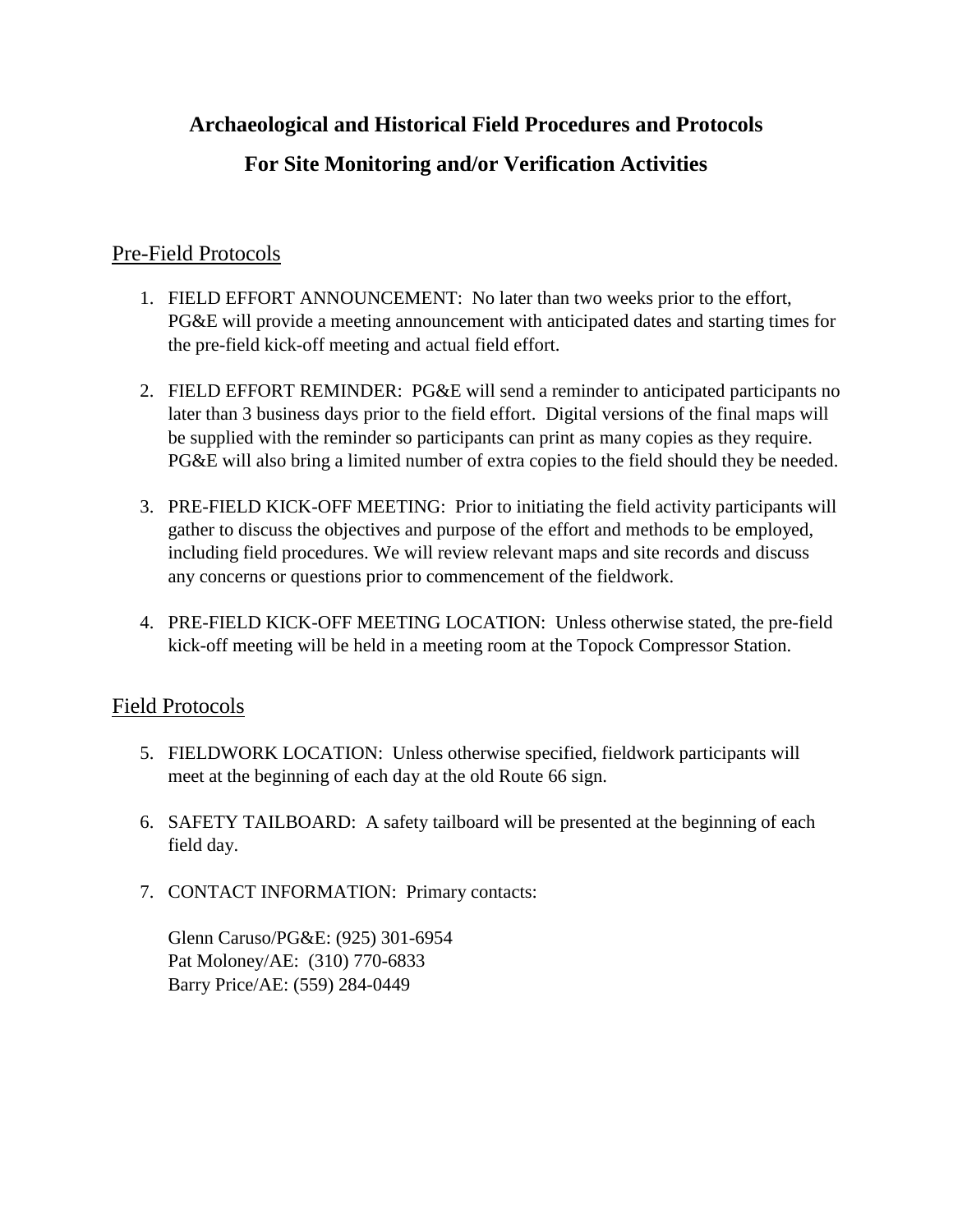# **Archaeological and Historical Field Procedures and Protocols**

# **For Site Monitoring and/or Verification Activities**

## Pre-Field Protocols

- 1. FIELD EFFORT ANNOUNCEMENT: No later than two weeks prior to the effort, PG&E will provide a meeting announcement with anticipated dates and starting times for the pre-field kick-off meeting and actual field effort.
- 2. FIELD EFFORT REMINDER: PG&E will send a reminder to anticipated participants no later than 3 business days prior to the field effort. Digital versions of the final maps will be supplied with the reminder so participants can print as many copies as they require. PG&E will also bring a limited number of extra copies to the field should they be needed.
- 3. PRE-FIELD KICK-OFF MEETING: Prior to initiating the field activity participants will gather to discuss the objectives and purpose of the effort and methods to be employed, including field procedures. We will review relevant maps and site records and discuss any concerns or questions prior to commencement of the fieldwork.
- 4. PRE-FIELD KICK-OFF MEETING LOCATION: Unless otherwise stated, the pre-field kick-off meeting will be held in a meeting room at the Topock Compressor Station.

### Field Protocols

- 5. FIELDWORK LOCATION: Unless otherwise specified, fieldwork participants will meet at the beginning of each day at the old Route 66 sign.
- 6. SAFETY TAILBOARD: A safety tailboard will be presented at the beginning of each field day.
- 7. CONTACT INFORMATION: Primary contacts:

Glenn Caruso/PG&E: (925) 301-6954 Pat Moloney/AE: (310) 770-6833 Barry Price/AE: (559) 284-0449